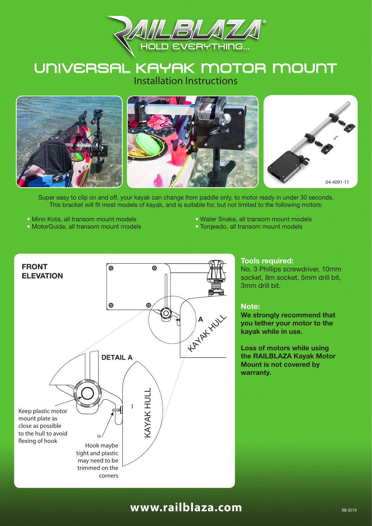

### UNIVERSAL KAYAK MOTOR MOUNT Installation Instructions



Super easy to clip on and off, your kayak can change from paddle only, to motor ready in under 30 seconds. This bracket will fit most models of kayak, and is suitable for, but not limited to the following motors:

- Minn Kota, all transom mount models • MotorGuide, all transom mount models all transom mount models
- Water Snake, all transom mount models
	- Torqeedo, all transom mount models



#### **Tools required:**

No. 3 Phillips screwdriver, 10mm socket, 8m socket, 5mm drill bit, 3mm drill bit.

#### **Note:**

**We strongly recommend that you tether your motor to the kayak while in use.**

**Loss of motors while using the RAILBLAZA Kayak Motor Mount is not covered by warranty.**

### **www.railblaza.com**